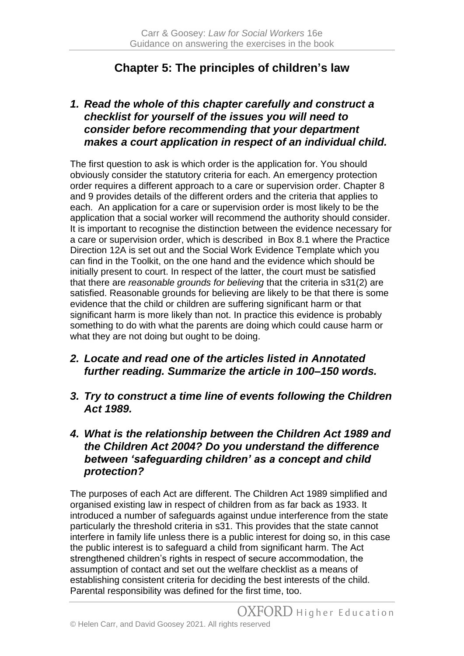# **Chapter 5: The principles of children's law**

### *1. Read the whole of this chapter carefully and construct a checklist for yourself of the issues you will need to consider before recommending that your department makes a court application in respect of an individual child.*

The first question to ask is which order is the application for. You should obviously consider the statutory criteria for each. An emergency protection order requires a different approach to a care or supervision order. Chapter 8 and 9 provides details of the different orders and the criteria that applies to each. An application for a care or supervision order is most likely to be the application that a social worker will recommend the authority should consider. It is important to recognise the distinction between the evidence necessary for a care or supervision order, which is described in Box 8.1 where the Practice Direction 12A is set out and the Social Work Evidence Template which you can find in the Toolkit, on the one hand and the evidence which should be initially present to court. In respect of the latter, the court must be satisfied that there are *reasonable grounds for believing* that the criteria in s31(2) are satisfied. Reasonable grounds for believing are likely to be that there is some evidence that the child or children are suffering significant harm or that significant harm is more likely than not. In practice this evidence is probably something to do with what the parents are doing which could cause harm or what they are not doing but ought to be doing.

- *2. Locate and read one of the articles listed in Annotated further reading. Summarize the article in 100–150 words.*
- *3. Try to construct a time line of events following the Children Act 1989.*

### *4. What is the relationship between the Children Act 1989 and the Children Act 2004? Do you understand the difference between 'safeguarding children' as a concept and child protection?*

The purposes of each Act are different. The Children Act 1989 simplified and organised existing law in respect of children from as far back as 1933. It introduced a number of safeguards against undue interference from the state particularly the threshold criteria in s31. This provides that the state cannot interfere in family life unless there is a public interest for doing so, in this case the public interest is to safeguard a child from significant harm. The Act strengthened children's rights in respect of secure accommodation, the assumption of contact and set out the welfare checklist as a means of establishing consistent criteria for deciding the best interests of the child. Parental responsibility was defined for the first time, too.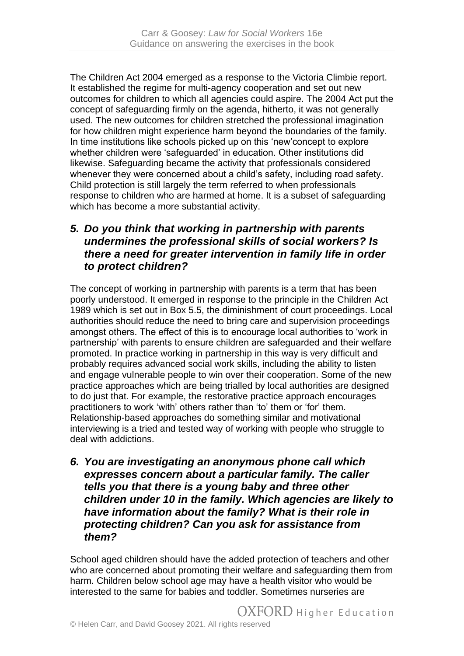The Children Act 2004 emerged as a response to the Victoria Climbie report. It established the regime for multi-agency cooperation and set out new outcomes for children to which all agencies could aspire. The 2004 Act put the concept of safeguarding firmly on the agenda, hitherto, it was not generally used. The new outcomes for children stretched the professional imagination for how children might experience harm beyond the boundaries of the family. In time institutions like schools picked up on this 'new'concept to explore whether children were 'safeguarded' in education. Other institutions did likewise. Safeguarding became the activity that professionals considered whenever they were concerned about a child's safety, including road safety. Child protection is still largely the term referred to when professionals response to children who are harmed at home. It is a subset of safeguarding which has become a more substantial activity.

## *5. Do you think that working in partnership with parents undermines the professional skills of social workers? Is there a need for greater intervention in family life in order to protect children?*

The concept of working in partnership with parents is a term that has been poorly understood. It emerged in response to the principle in the Children Act 1989 which is set out in Box 5.5, the diminishment of court proceedings. Local authorities should reduce the need to bring care and supervision proceedings amongst others. The effect of this is to encourage local authorities to 'work in partnership' with parents to ensure children are safeguarded and their welfare promoted. In practice working in partnership in this way is very difficult and probably requires advanced social work skills, including the ability to listen and engage vulnerable people to win over their cooperation. Some of the new practice approaches which are being trialled by local authorities are designed to do just that. For example, the restorative practice approach encourages practitioners to work 'with' others rather than 'to' them or 'for' them. Relationship-based approaches do something similar and motivational interviewing is a tried and tested way of working with people who struggle to deal with addictions.

*6. You are investigating an anonymous phone call which expresses concern about a particular family. The caller tells you that there is a young baby and three other children under 10 in the family. Which agencies are likely to have information about the family? What is their role in protecting children? Can you ask for assistance from them?*

School aged children should have the added protection of teachers and other who are concerned about promoting their welfare and safeguarding them from harm. Children below school age may have a health visitor who would be interested to the same for babies and toddler. Sometimes nurseries are